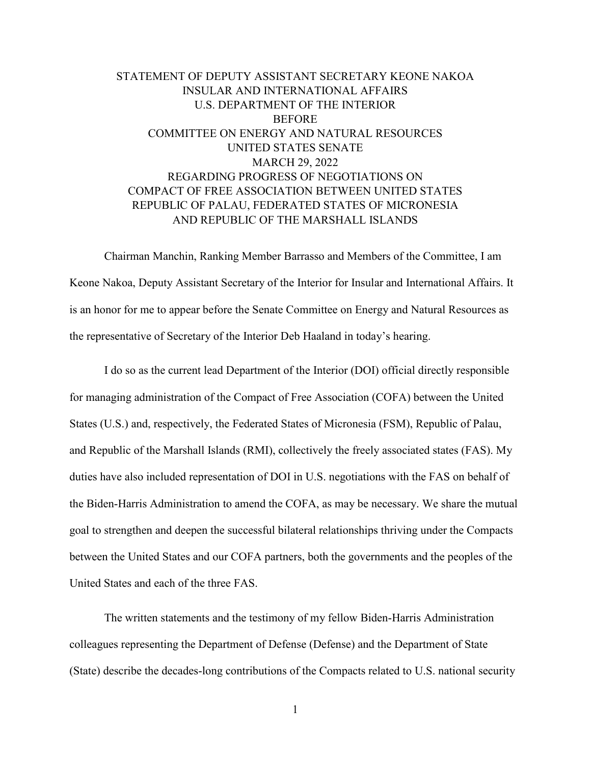# STATEMENT OF DEPUTY ASSISTANT SECRETARY KEONE NAKOA INSULAR AND INTERNATIONAL AFFAIRS U.S. DEPARTMENT OF THE INTERIOR BEFORE COMMITTEE ON ENERGY AND NATURAL RESOURCES UNITED STATES SENATE MARCH 29, 2022 REGARDING PROGRESS OF NEGOTIATIONS ON COMPACT OF FREE ASSOCIATION BETWEEN UNITED STATES REPUBLIC OF PALAU, FEDERATED STATES OF MICRONESIA AND REPUBLIC OF THE MARSHALL ISLANDS

Chairman Manchin, Ranking Member Barrasso and Members of the Committee, I am Keone Nakoa, Deputy Assistant Secretary of the Interior for Insular and International Affairs. It is an honor for me to appear before the Senate Committee on Energy and Natural Resources as the representative of Secretary of the Interior Deb Haaland in today's hearing.

I do so as the current lead Department of the Interior (DOI) official directly responsible for managing administration of the Compact of Free Association (COFA) between the United States (U.S.) and, respectively, the Federated States of Micronesia (FSM), Republic of Palau, and Republic of the Marshall Islands (RMI), collectively the freely associated states (FAS). My duties have also included representation of DOI in U.S. negotiations with the FAS on behalf of the Biden-Harris Administration to amend the COFA, as may be necessary. We share the mutual goal to strengthen and deepen the successful bilateral relationships thriving under the Compacts between the United States and our COFA partners, both the governments and the peoples of the United States and each of the three FAS.

The written statements and the testimony of my fellow Biden-Harris Administration colleagues representing the Department of Defense (Defense) and the Department of State (State) describe the decades-long contributions of the Compacts related to U.S. national security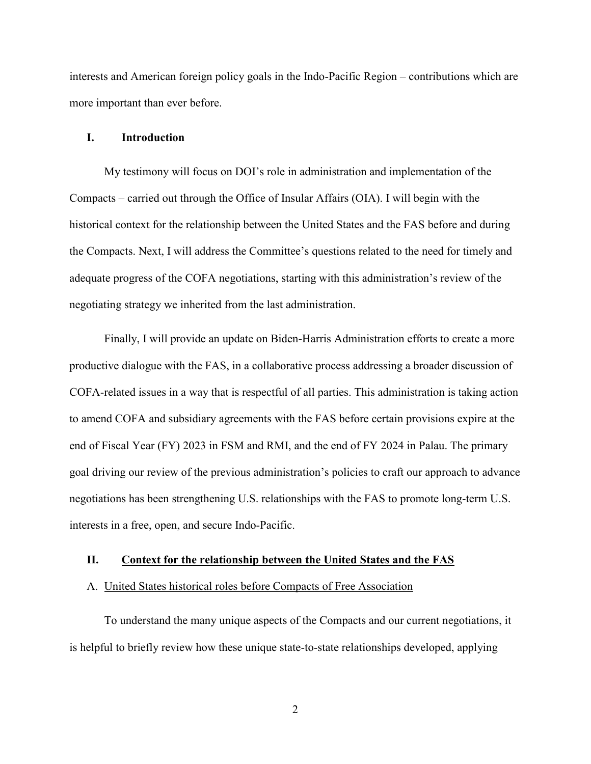interests and American foreign policy goals in the Indo-Pacific Region – contributions which are more important than ever before.

#### **I. Introduction**

My testimony will focus on DOI's role in administration and implementation of the Compacts – carried out through the Office of Insular Affairs (OIA). I will begin with the historical context for the relationship between the United States and the FAS before and during the Compacts. Next, I will address the Committee's questions related to the need for timely and adequate progress of the COFA negotiations, starting with this administration's review of the negotiating strategy we inherited from the last administration.

Finally, I will provide an update on Biden-Harris Administration efforts to create a more productive dialogue with the FAS, in a collaborative process addressing a broader discussion of COFA-related issues in a way that is respectful of all parties. This administration is taking action to amend COFA and subsidiary agreements with the FAS before certain provisions expire at the end of Fiscal Year (FY) 2023 in FSM and RMI, and the end of FY 2024 in Palau. The primary goal driving our review of the previous administration's policies to craft our approach to advance negotiations has been strengthening U.S. relationships with the FAS to promote long-term U.S. interests in a free, open, and secure Indo-Pacific.

# **II. Context for the relationship between the United States and the FAS**

#### A. United States historical roles before Compacts of Free Association

To understand the many unique aspects of the Compacts and our current negotiations, it is helpful to briefly review how these unique state-to-state relationships developed, applying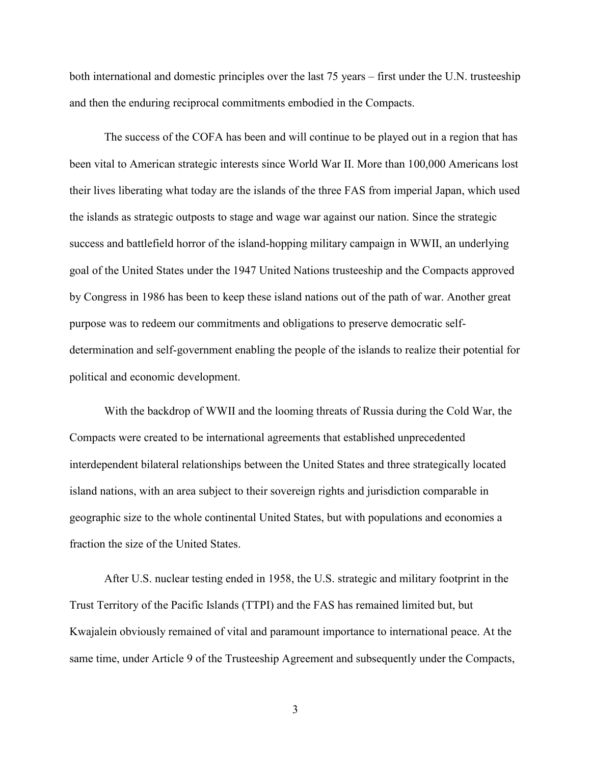both international and domestic principles over the last 75 years – first under the U.N. trusteeship and then the enduring reciprocal commitments embodied in the Compacts.

The success of the COFA has been and will continue to be played out in a region that has been vital to American strategic interests since World War II. More than 100,000 Americans lost their lives liberating what today are the islands of the three FAS from imperial Japan, which used the islands as strategic outposts to stage and wage war against our nation. Since the strategic success and battlefield horror of the island-hopping military campaign in WWII, an underlying goal of the United States under the 1947 United Nations trusteeship and the Compacts approved by Congress in 1986 has been to keep these island nations out of the path of war. Another great purpose was to redeem our commitments and obligations to preserve democratic selfdetermination and self-government enabling the people of the islands to realize their potential for political and economic development.

With the backdrop of WWII and the looming threats of Russia during the Cold War, the Compacts were created to be international agreements that established unprecedented interdependent bilateral relationships between the United States and three strategically located island nations, with an area subject to their sovereign rights and jurisdiction comparable in geographic size to the whole continental United States, but with populations and economies a fraction the size of the United States.

After U.S. nuclear testing ended in 1958, the U.S. strategic and military footprint in the Trust Territory of the Pacific Islands (TTPI) and the FAS has remained limited but, but Kwajalein obviously remained of vital and paramount importance to international peace. At the same time, under Article 9 of the Trusteeship Agreement and subsequently under the Compacts,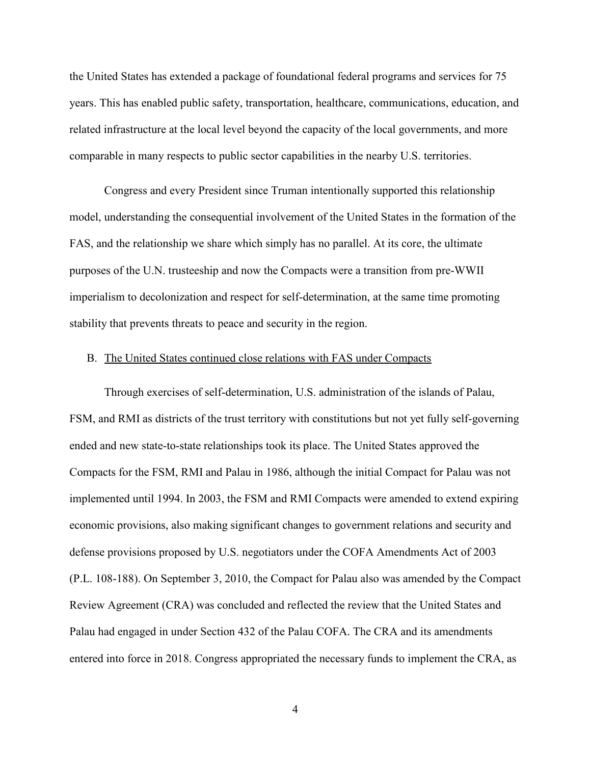the United States has extended a package of foundational federal programs and services for 75 years. This has enabled public safety, transportation, healthcare, communications, education, and related infrastructure at the local level beyond the capacity of the local governments, and more comparable in many respects to public sector capabilities in the nearby U.S. territories.

Congress and every President since Truman intentionally supported this relationship model, understanding the consequential involvement of the United States in the formation of the FAS, and the relationship we share which simply has no parallel. At its core, the ultimate purposes of the U.N. trusteeship and now the Compacts were a transition from pre-WWII imperialism to decolonization and respect for self-determination, at the same time promoting stability that prevents threats to peace and security in the region.

#### B. The United States continued close relations with FAS under Compacts

Through exercises of self-determination, U.S. administration of the islands of Palau, FSM, and RMI as districts of the trust territory with constitutions but not yet fully self-governing ended and new state-to-state relationships took its place. The United States approved the Compacts for the FSM, RMI and Palau in 1986, although the initial Compact for Palau was not implemented until 1994. In 2003, the FSM and RMI Compacts were amended to extend expiring economic provisions, also making significant changes to government relations and security and defense provisions proposed by U.S. negotiators under the COFA Amendments Act of 2003 (P.L. 108-188). On September 3, 2010, the Compact for Palau also was amended by the Compact Review Agreement (CRA) was concluded and reflected the review that the United States and Palau had engaged in under Section 432 of the Palau COFA. The CRA and its amendments entered into force in 2018. Congress appropriated the necessary funds to implement the CRA, as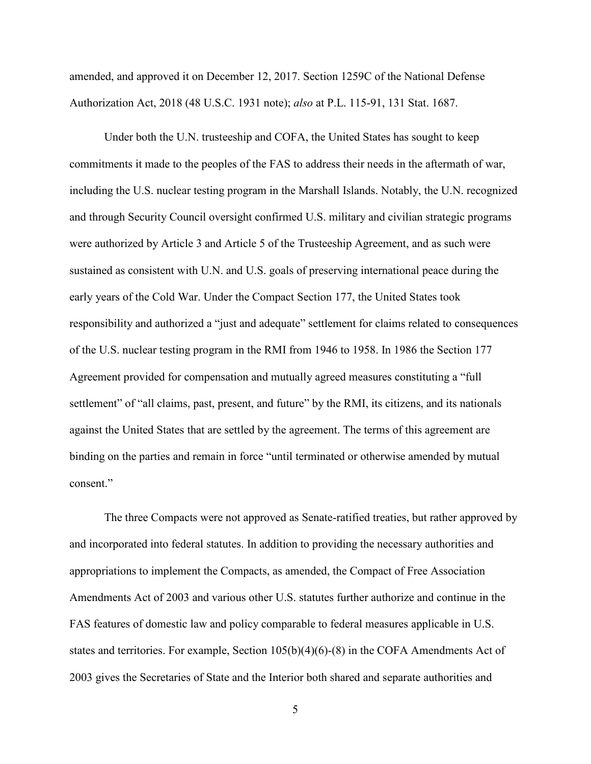amended, and approved it on December 12, 2017. Section 1259C of the National Defense Authorization Act, 2018 (48 U.S.C. 1931 note); *also* at P.L. 115-91, 131 Stat. 1687.

Under both the U.N. trusteeship and COFA, the United States has sought to keep commitments it made to the peoples of the FAS to address their needs in the aftermath of war, including the U.S. nuclear testing program in the Marshall Islands. Notably, the U.N. recognized and through Security Council oversight confirmed U.S. military and civilian strategic programs were authorized by Article 3 and Article 5 of the Trusteeship Agreement, and as such were sustained as consistent with U.N. and U.S. goals of preserving international peace during the early years of the Cold War. Under the Compact Section 177, the United States took responsibility and authorized a "just and adequate" settlement for claims related to consequences of the U.S. nuclear testing program in the RMI from 1946 to 1958. In 1986 the Section 177 Agreement provided for compensation and mutually agreed measures constituting a "full settlement" of "all claims, past, present, and future" by the RMI, its citizens, and its nationals against the United States that are settled by the agreement. The terms of this agreement are binding on the parties and remain in force "until terminated or otherwise amended by mutual consent."

The three Compacts were not approved as Senate-ratified treaties, but rather approved by and incorporated into federal statutes. In addition to providing the necessary authorities and appropriations to implement the Compacts, as amended, the Compact of Free Association Amendments Act of 2003 and various other U.S. statutes further authorize and continue in the FAS features of domestic law and policy comparable to federal measures applicable in U.S. states and territories. For example, Section 105(b)(4)(6)-(8) in the COFA Amendments Act of 2003 gives the Secretaries of State and the Interior both shared and separate authorities and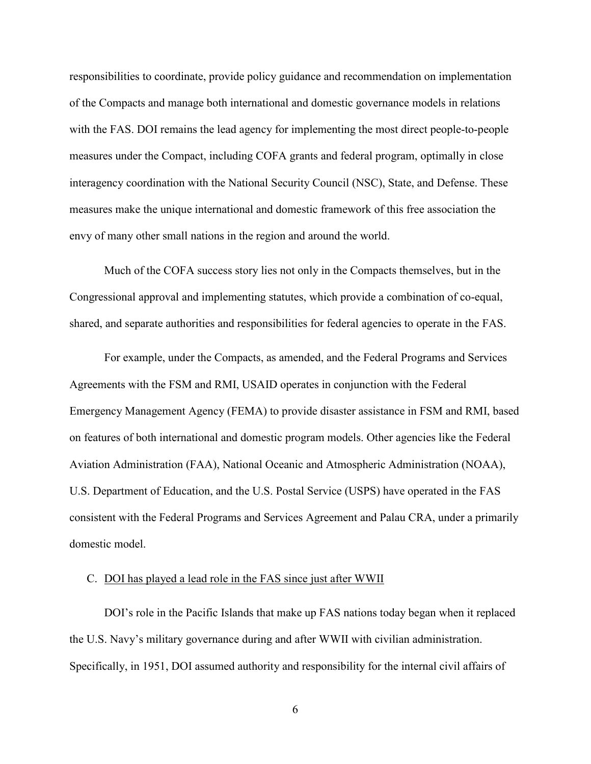responsibilities to coordinate, provide policy guidance and recommendation on implementation of the Compacts and manage both international and domestic governance models in relations with the FAS. DOI remains the lead agency for implementing the most direct people-to-people measures under the Compact, including COFA grants and federal program, optimally in close interagency coordination with the National Security Council (NSC), State, and Defense. These measures make the unique international and domestic framework of this free association the envy of many other small nations in the region and around the world.

Much of the COFA success story lies not only in the Compacts themselves, but in the Congressional approval and implementing statutes, which provide a combination of co-equal, shared, and separate authorities and responsibilities for federal agencies to operate in the FAS.

For example, under the Compacts, as amended, and the Federal Programs and Services Agreements with the FSM and RMI, USAID operates in conjunction with the Federal Emergency Management Agency (FEMA) to provide disaster assistance in FSM and RMI, based on features of both international and domestic program models. Other agencies like the Federal Aviation Administration (FAA), National Oceanic and Atmospheric Administration (NOAA), U.S. Department of Education, and the U.S. Postal Service (USPS) have operated in the FAS consistent with the Federal Programs and Services Agreement and Palau CRA, under a primarily domestic model.

#### C. DOI has played a lead role in the FAS since just after WWII

DOI's role in the Pacific Islands that make up FAS nations today began when it replaced the U.S. Navy's military governance during and after WWII with civilian administration. Specifically, in 1951, DOI assumed authority and responsibility for the internal civil affairs of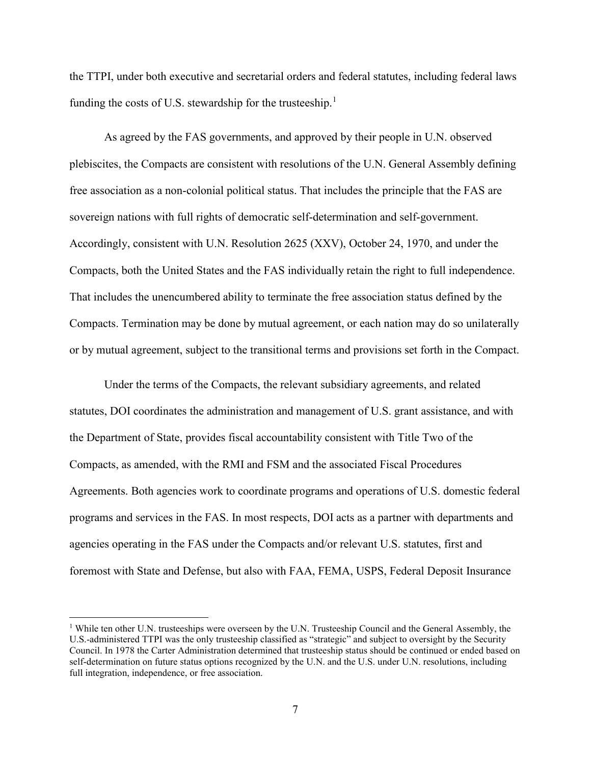the TTPI, under both executive and secretarial orders and federal statutes, including federal laws funding the costs of U.S. stewardship for the trusteeship.<sup>[1](#page-6-0)</sup>

As agreed by the FAS governments, and approved by their people in U.N. observed plebiscites, the Compacts are consistent with resolutions of the U.N. General Assembly defining free association as a non-colonial political status. That includes the principle that the FAS are sovereign nations with full rights of democratic self-determination and self-government. Accordingly, consistent with U.N. Resolution 2625 (XXV), October 24, 1970, and under the Compacts, both the United States and the FAS individually retain the right to full independence. That includes the unencumbered ability to terminate the free association status defined by the Compacts. Termination may be done by mutual agreement, or each nation may do so unilaterally or by mutual agreement, subject to the transitional terms and provisions set forth in the Compact.

Under the terms of the Compacts, the relevant subsidiary agreements, and related statutes, DOI coordinates the administration and management of U.S. grant assistance, and with the Department of State, provides fiscal accountability consistent with Title Two of the Compacts, as amended, with the RMI and FSM and the associated Fiscal Procedures Agreements. Both agencies work to coordinate programs and operations of U.S. domestic federal programs and services in the FAS. In most respects, DOI acts as a partner with departments and agencies operating in the FAS under the Compacts and/or relevant U.S. statutes, first and foremost with State and Defense, but also with FAA, FEMA, USPS, Federal Deposit Insurance

 $\overline{\phantom{a}}$ 

<span id="page-6-0"></span><sup>&</sup>lt;sup>1</sup> While ten other U.N. trusteeships were overseen by the U.N. Trusteeship Council and the General Assembly, the U.S.-administered TTPI was the only trusteeship classified as "strategic" and subject to oversight by the Security Council. In 1978 the Carter Administration determined that trusteeship status should be continued or ended based on self-determination on future status options recognized by the U.N. and the U.S. under U.N. resolutions, including full integration, independence, or free association.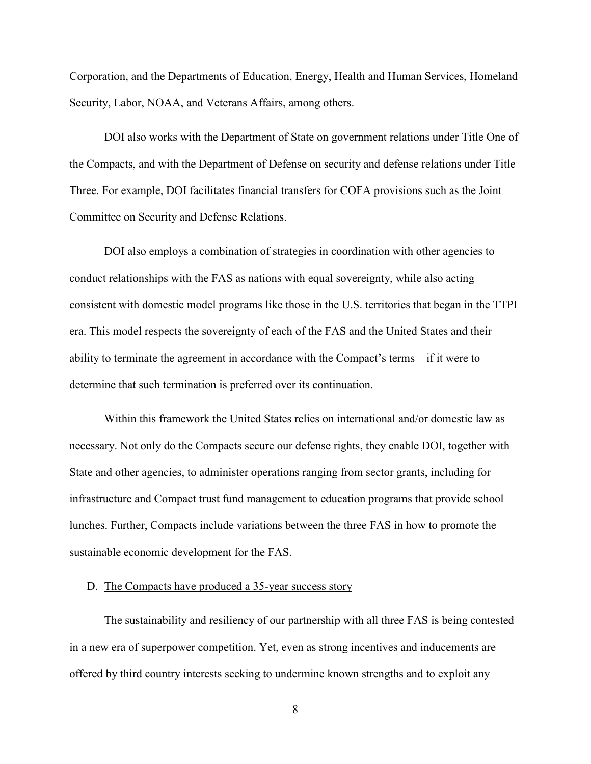Corporation, and the Departments of Education, Energy, Health and Human Services, Homeland Security, Labor, NOAA, and Veterans Affairs, among others.

DOI also works with the Department of State on government relations under Title One of the Compacts, and with the Department of Defense on security and defense relations under Title Three. For example, DOI facilitates financial transfers for COFA provisions such as the Joint Committee on Security and Defense Relations.

DOI also employs a combination of strategies in coordination with other agencies to conduct relationships with the FAS as nations with equal sovereignty, while also acting consistent with domestic model programs like those in the U.S. territories that began in the TTPI era. This model respects the sovereignty of each of the FAS and the United States and their ability to terminate the agreement in accordance with the Compact's terms – if it were to determine that such termination is preferred over its continuation.

Within this framework the United States relies on international and/or domestic law as necessary. Not only do the Compacts secure our defense rights, they enable DOI, together with State and other agencies, to administer operations ranging from sector grants, including for infrastructure and Compact trust fund management to education programs that provide school lunches. Further, Compacts include variations between the three FAS in how to promote the sustainable economic development for the FAS.

## D. The Compacts have produced a 35-year success story

The sustainability and resiliency of our partnership with all three FAS is being contested in a new era of superpower competition. Yet, even as strong incentives and inducements are offered by third country interests seeking to undermine known strengths and to exploit any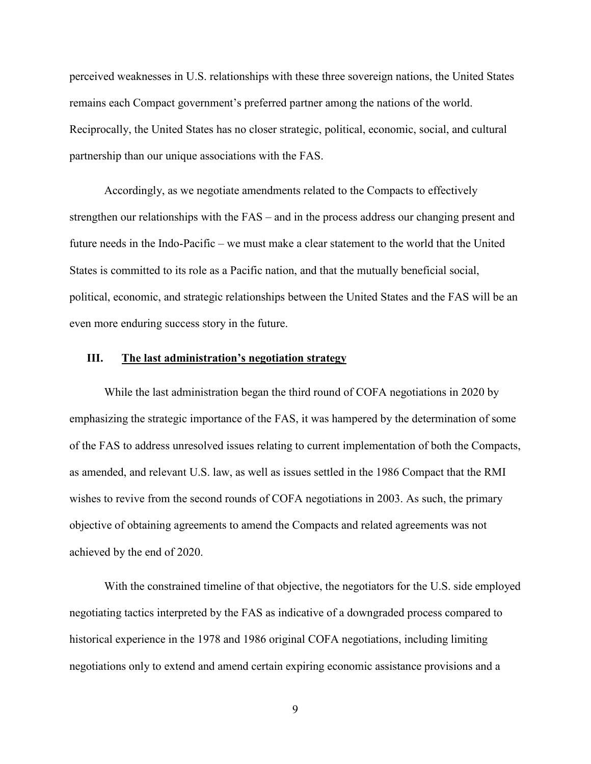perceived weaknesses in U.S. relationships with these three sovereign nations, the United States remains each Compact government's preferred partner among the nations of the world. Reciprocally, the United States has no closer strategic, political, economic, social, and cultural partnership than our unique associations with the FAS.

Accordingly, as we negotiate amendments related to the Compacts to effectively strengthen our relationships with the FAS – and in the process address our changing present and future needs in the Indo-Pacific – we must make a clear statement to the world that the United States is committed to its role as a Pacific nation, and that the mutually beneficial social, political, economic, and strategic relationships between the United States and the FAS will be an even more enduring success story in the future.

## **III. The last administration's negotiation strategy**

While the last administration began the third round of COFA negotiations in 2020 by emphasizing the strategic importance of the FAS, it was hampered by the determination of some of the FAS to address unresolved issues relating to current implementation of both the Compacts, as amended, and relevant U.S. law, as well as issues settled in the 1986 Compact that the RMI wishes to revive from the second rounds of COFA negotiations in 2003. As such, the primary objective of obtaining agreements to amend the Compacts and related agreements was not achieved by the end of 2020.

With the constrained timeline of that objective, the negotiators for the U.S. side employed negotiating tactics interpreted by the FAS as indicative of a downgraded process compared to historical experience in the 1978 and 1986 original COFA negotiations, including limiting negotiations only to extend and amend certain expiring economic assistance provisions and a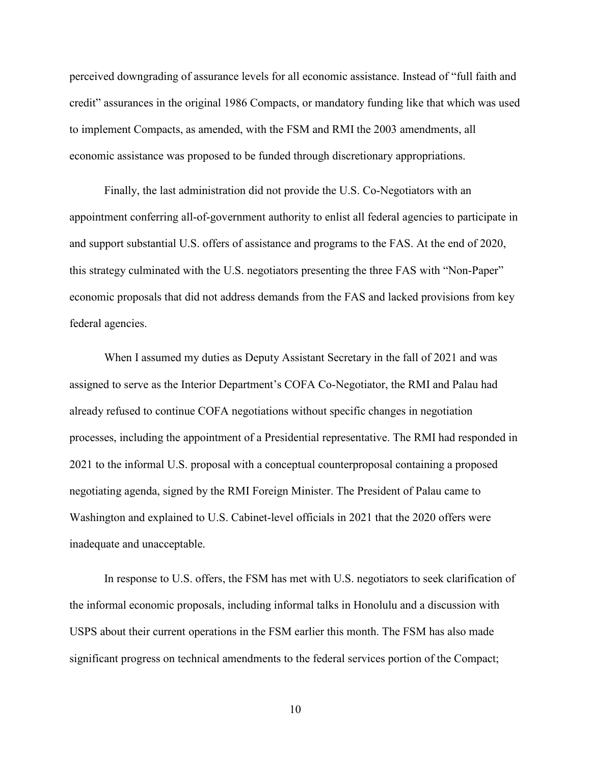perceived downgrading of assurance levels for all economic assistance. Instead of "full faith and credit" assurances in the original 1986 Compacts, or mandatory funding like that which was used to implement Compacts, as amended, with the FSM and RMI the 2003 amendments, all economic assistance was proposed to be funded through discretionary appropriations.

Finally, the last administration did not provide the U.S. Co-Negotiators with an appointment conferring all-of-government authority to enlist all federal agencies to participate in and support substantial U.S. offers of assistance and programs to the FAS. At the end of 2020, this strategy culminated with the U.S. negotiators presenting the three FAS with "Non-Paper" economic proposals that did not address demands from the FAS and lacked provisions from key federal agencies.

When I assumed my duties as Deputy Assistant Secretary in the fall of 2021 and was assigned to serve as the Interior Department's COFA Co-Negotiator, the RMI and Palau had already refused to continue COFA negotiations without specific changes in negotiation processes, including the appointment of a Presidential representative. The RMI had responded in 2021 to the informal U.S. proposal with a conceptual counterproposal containing a proposed negotiating agenda, signed by the RMI Foreign Minister. The President of Palau came to Washington and explained to U.S. Cabinet-level officials in 2021 that the 2020 offers were inadequate and unacceptable.

In response to U.S. offers, the FSM has met with U.S. negotiators to seek clarification of the informal economic proposals, including informal talks in Honolulu and a discussion with USPS about their current operations in the FSM earlier this month. The FSM has also made significant progress on technical amendments to the federal services portion of the Compact;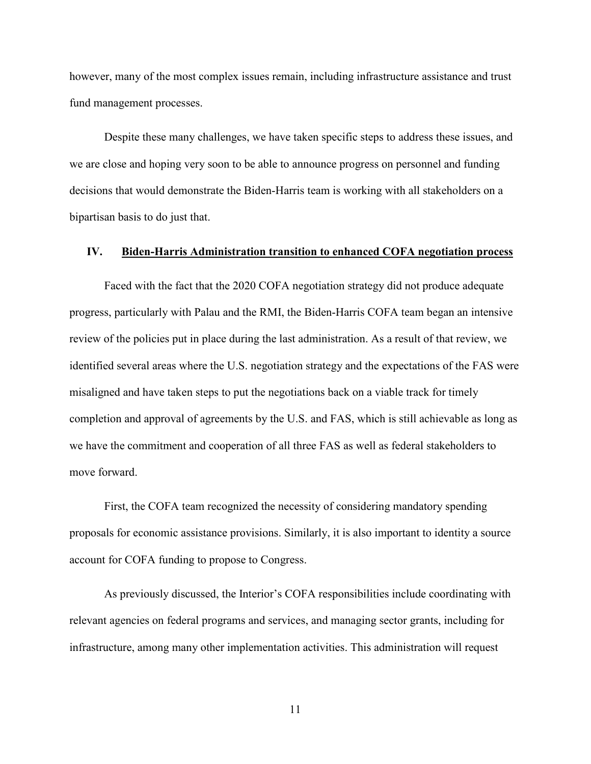however, many of the most complex issues remain, including infrastructure assistance and trust fund management processes.

Despite these many challenges, we have taken specific steps to address these issues, and we are close and hoping very soon to be able to announce progress on personnel and funding decisions that would demonstrate the Biden-Harris team is working with all stakeholders on a bipartisan basis to do just that.

## **IV. Biden-Harris Administration transition to enhanced COFA negotiation process**

Faced with the fact that the 2020 COFA negotiation strategy did not produce adequate progress, particularly with Palau and the RMI, the Biden-Harris COFA team began an intensive review of the policies put in place during the last administration. As a result of that review, we identified several areas where the U.S. negotiation strategy and the expectations of the FAS were misaligned and have taken steps to put the negotiations back on a viable track for timely completion and approval of agreements by the U.S. and FAS, which is still achievable as long as we have the commitment and cooperation of all three FAS as well as federal stakeholders to move forward.

First, the COFA team recognized the necessity of considering mandatory spending proposals for economic assistance provisions. Similarly, it is also important to identity a source account for COFA funding to propose to Congress.

As previously discussed, the Interior's COFA responsibilities include coordinating with relevant agencies on federal programs and services, and managing sector grants, including for infrastructure, among many other implementation activities. This administration will request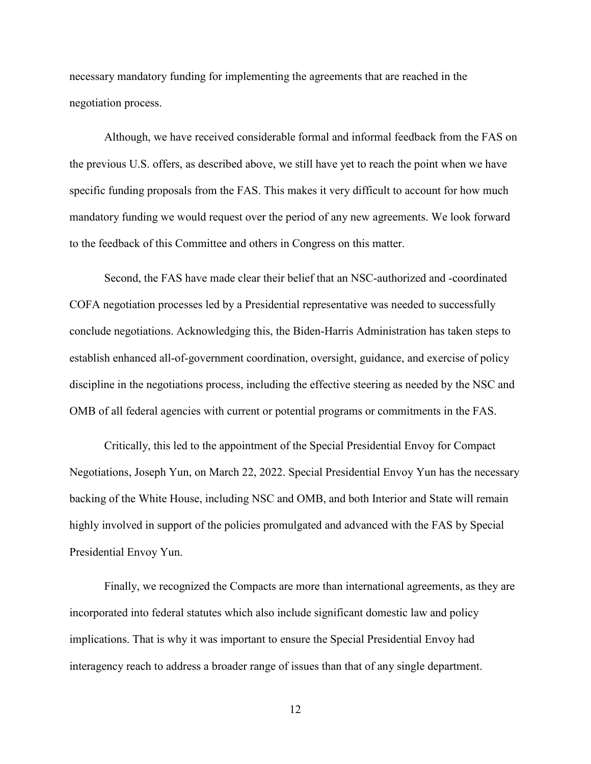necessary mandatory funding for implementing the agreements that are reached in the negotiation process.

Although, we have received considerable formal and informal feedback from the FAS on the previous U.S. offers, as described above, we still have yet to reach the point when we have specific funding proposals from the FAS. This makes it very difficult to account for how much mandatory funding we would request over the period of any new agreements. We look forward to the feedback of this Committee and others in Congress on this matter.

Second, the FAS have made clear their belief that an NSC-authorized and -coordinated COFA negotiation processes led by a Presidential representative was needed to successfully conclude negotiations. Acknowledging this, the Biden-Harris Administration has taken steps to establish enhanced all-of-government coordination, oversight, guidance, and exercise of policy discipline in the negotiations process, including the effective steering as needed by the NSC and OMB of all federal agencies with current or potential programs or commitments in the FAS.

Critically, this led to the appointment of the Special Presidential Envoy for Compact Negotiations, Joseph Yun, on March 22, 2022. Special Presidential Envoy Yun has the necessary backing of the White House, including NSC and OMB, and both Interior and State will remain highly involved in support of the policies promulgated and advanced with the FAS by Special Presidential Envoy Yun.

Finally, we recognized the Compacts are more than international agreements, as they are incorporated into federal statutes which also include significant domestic law and policy implications. That is why it was important to ensure the Special Presidential Envoy had interagency reach to address a broader range of issues than that of any single department.